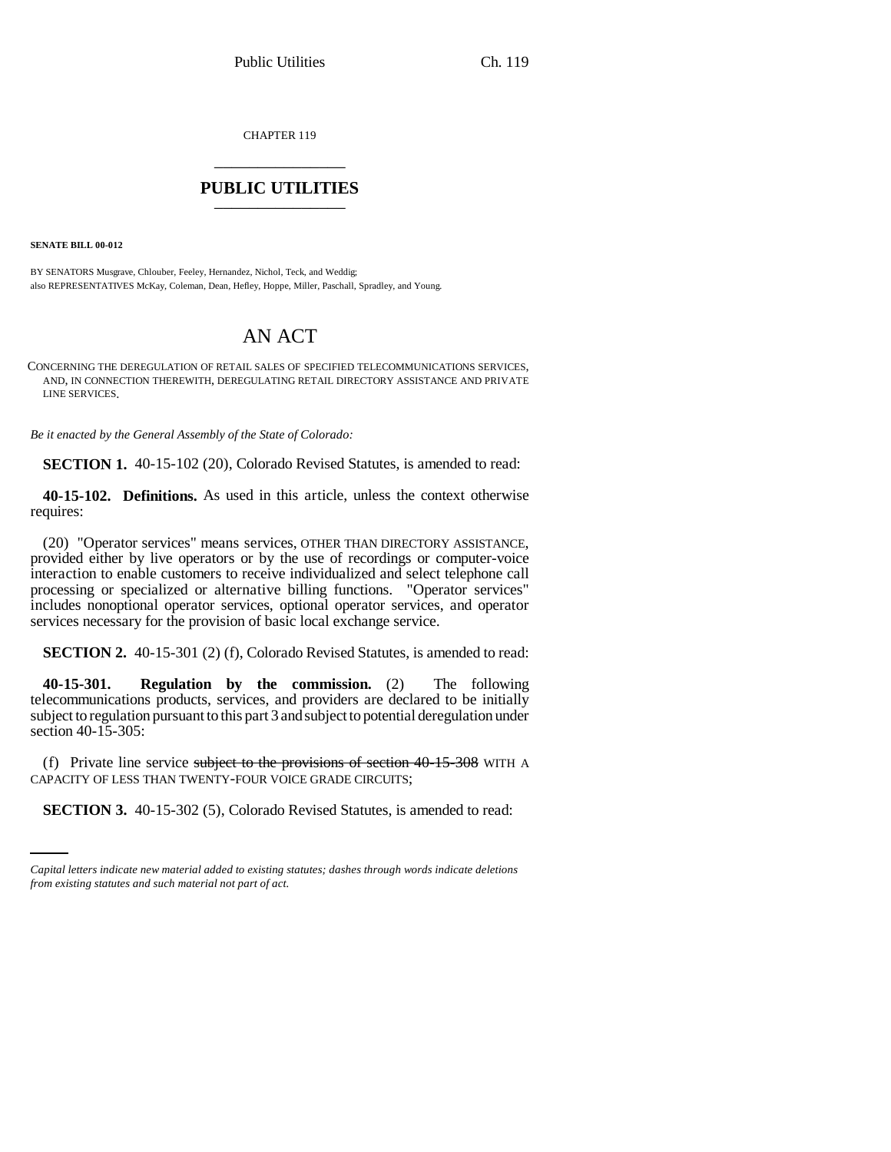CHAPTER 119 \_\_\_\_\_\_\_\_\_\_\_\_\_\_\_

## **PUBLIC UTILITIES** \_\_\_\_\_\_\_\_\_\_\_\_\_\_\_

**SENATE BILL 00-012**

BY SENATORS Musgrave, Chlouber, Feeley, Hernandez, Nichol, Teck, and Weddig; also REPRESENTATIVES McKay, Coleman, Dean, Hefley, Hoppe, Miller, Paschall, Spradley, and Young.

## AN ACT

CONCERNING THE DEREGULATION OF RETAIL SALES OF SPECIFIED TELECOMMUNICATIONS SERVICES, AND, IN CONNECTION THEREWITH, DEREGULATING RETAIL DIRECTORY ASSISTANCE AND PRIVATE LINE SERVICES.

*Be it enacted by the General Assembly of the State of Colorado:*

**SECTION 1.** 40-15-102 (20), Colorado Revised Statutes, is amended to read:

**40-15-102. Definitions.** As used in this article, unless the context otherwise requires:

(20) "Operator services" means services, OTHER THAN DIRECTORY ASSISTANCE, provided either by live operators or by the use of recordings or computer-voice interaction to enable customers to receive individualized and select telephone call processing or specialized or alternative billing functions. "Operator services" includes nonoptional operator services, optional operator services, and operator services necessary for the provision of basic local exchange service.

**SECTION 2.** 40-15-301 (2) (f), Colorado Revised Statutes, is amended to read:

**40-15-301. Regulation by the commission.** (2) The following telecommunications products, services, and providers are declared to be initially subject to regulation pursuant to this part 3 and subject to potential deregulation under section 40-15-305:

CAPACITY OF LESS THAN TWENTY-FOUR VOICE GRADE CIRCUITS; (f) Private line service subject to the provisions of section  $40-15-308$  WITH A

**SECTION 3.** 40-15-302 (5), Colorado Revised Statutes, is amended to read:

*Capital letters indicate new material added to existing statutes; dashes through words indicate deletions from existing statutes and such material not part of act.*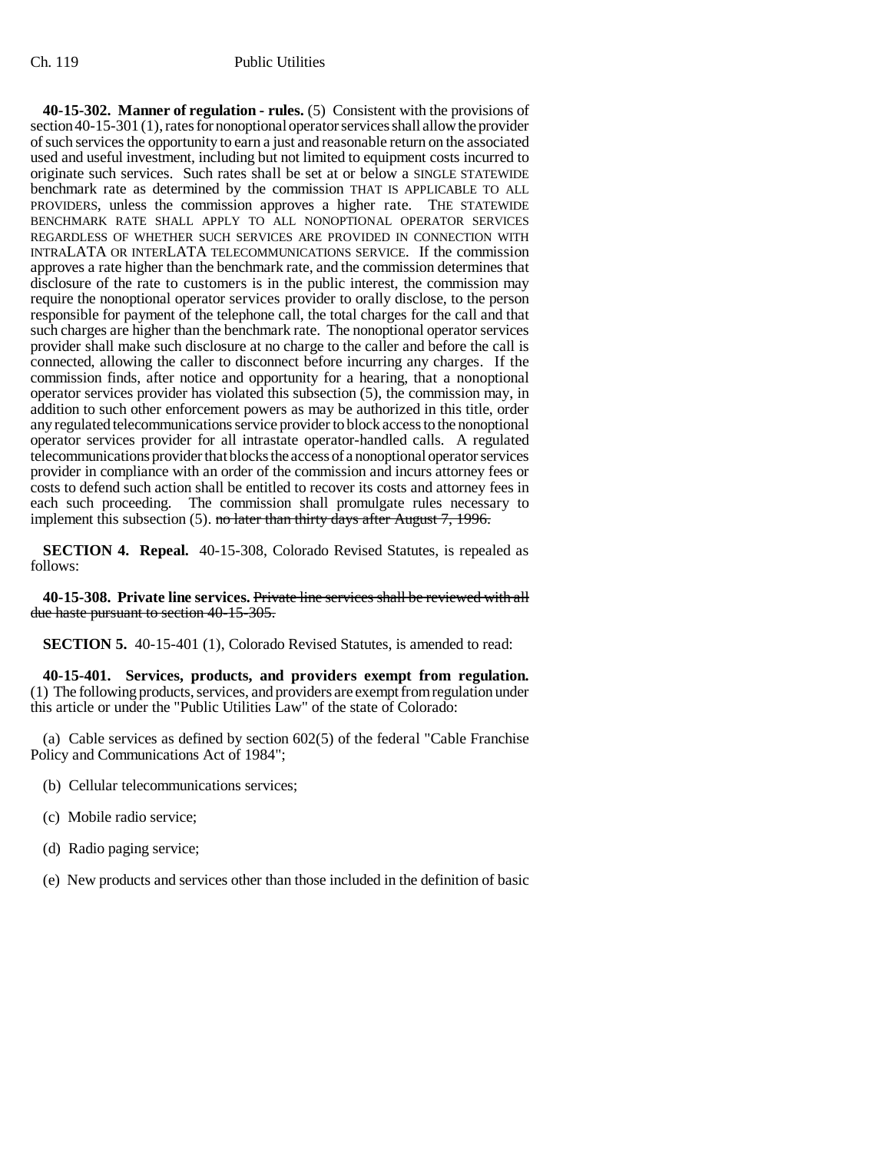**40-15-302. Manner of regulation - rules.** (5) Consistent with the provisions of section 40-15-301 (1), rates for nonoptional operator services shall allow the provider of such services the opportunity to earn a just and reasonable return on the associated used and useful investment, including but not limited to equipment costs incurred to originate such services. Such rates shall be set at or below a SINGLE STATEWIDE benchmark rate as determined by the commission THAT IS APPLICABLE TO ALL PROVIDERS, unless the commission approves a higher rate. THE STATEWIDE BENCHMARK RATE SHALL APPLY TO ALL NONOPTIONAL OPERATOR SERVICES REGARDLESS OF WHETHER SUCH SERVICES ARE PROVIDED IN CONNECTION WITH INTRALATA OR INTERLATA TELECOMMUNICATIONS SERVICE. If the commission approves a rate higher than the benchmark rate, and the commission determines that disclosure of the rate to customers is in the public interest, the commission may require the nonoptional operator services provider to orally disclose, to the person responsible for payment of the telephone call, the total charges for the call and that such charges are higher than the benchmark rate. The nonoptional operator services provider shall make such disclosure at no charge to the caller and before the call is connected, allowing the caller to disconnect before incurring any charges. If the commission finds, after notice and opportunity for a hearing, that a nonoptional operator services provider has violated this subsection (5), the commission may, in addition to such other enforcement powers as may be authorized in this title, order any regulated telecommunications service provider to block access to the nonoptional operator services provider for all intrastate operator-handled calls. A regulated telecommunications provider that blocks the access of a nonoptional operator services provider in compliance with an order of the commission and incurs attorney fees or costs to defend such action shall be entitled to recover its costs and attorney fees in each such proceeding. The commission shall promulgate rules necessary to implement this subsection  $(5)$ . no later than thirty days after August 7, 1996.

**SECTION 4. Repeal.** 40-15-308, Colorado Revised Statutes, is repealed as follows:

**40-15-308. Private line services.** Private line services shall be reviewed with all due haste pursuant to section 40-15-305.

**SECTION 5.** 40-15-401 (1), Colorado Revised Statutes, is amended to read:

**40-15-401. Services, products, and providers exempt from regulation.** (1) The following products, services, and providers are exempt from regulation under this article or under the "Public Utilities Law" of the state of Colorado:

(a) Cable services as defined by section 602(5) of the federal "Cable Franchise Policy and Communications Act of 1984";

- (b) Cellular telecommunications services;
- (c) Mobile radio service;
- (d) Radio paging service;
- (e) New products and services other than those included in the definition of basic